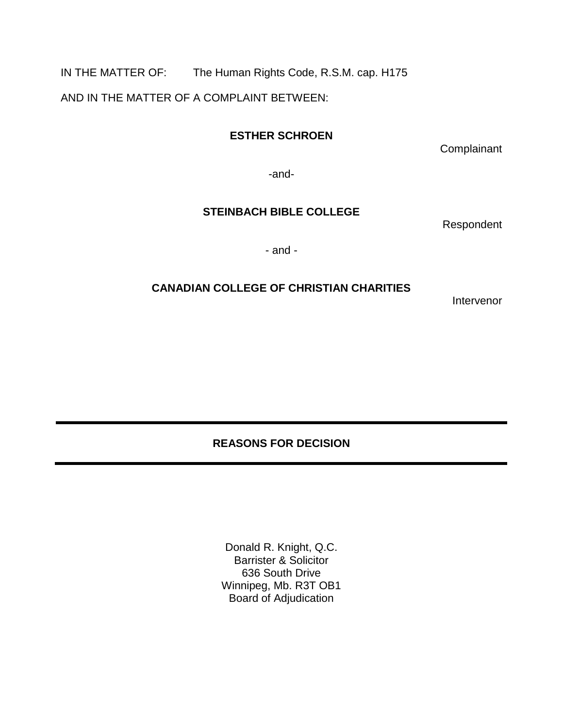IN THE MATTER OF: The Human Rights Code, R.S.M. cap. H175

AND IN THE MATTER OF A COMPLAINT BETWEEN:

## **ESTHER SCHROEN**

**Complainant** 

-and-

## **STEINBACH BIBLE COLLEGE**

Respondent

- and -

## **CANADIAN COLLEGE OF CHRISTIAN CHARITIES**

Intervenor

## **REASONS FOR DECISION**

Donald R. Knight, Q.C. Barrister & Solicitor 636 South Drive Winnipeg, Mb. R3T OB1 Board of Adjudication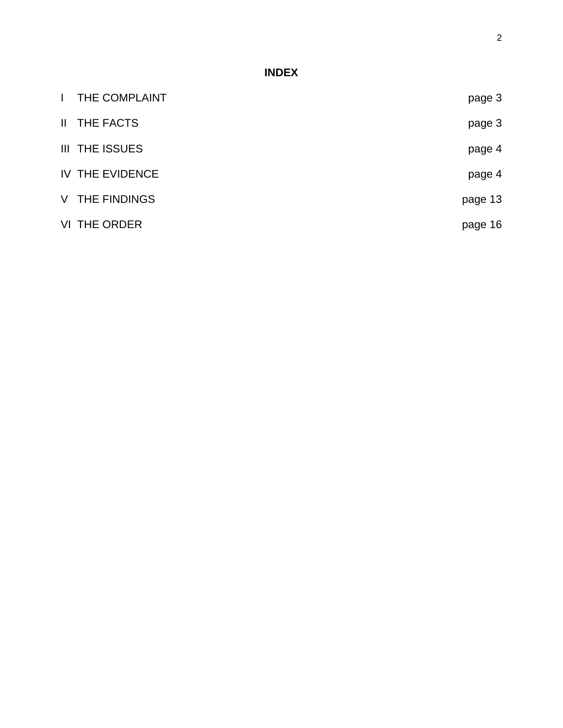# **INDEX**

| $\mathbf{L}$ | THE COMPLAINT         | page 3  |
|--------------|-----------------------|---------|
|              | II THE FACTS          | page 3  |
|              | <b>III THE ISSUES</b> | page 4  |
|              | IV THE EVIDENCE       | page 4  |
|              | V THE FINDINGS        | page 13 |
|              | VI THE ORDER          | page 16 |
|              |                       |         |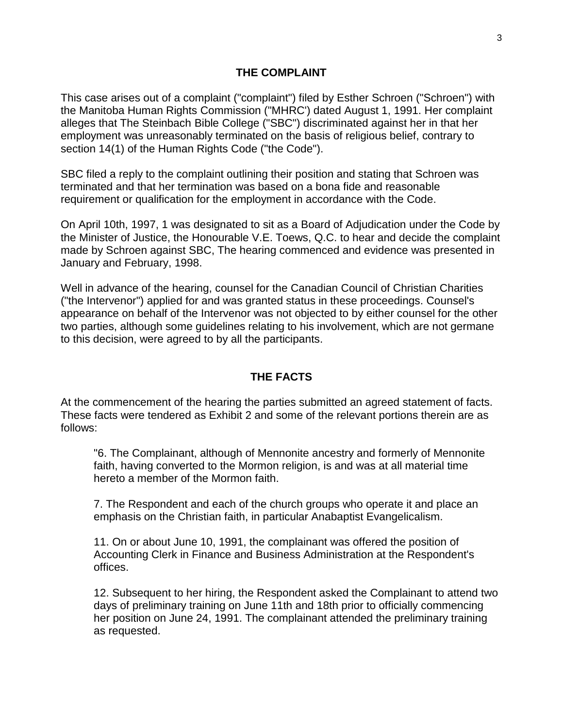#### **THE COMPLAINT**

This case arises out of a complaint ("complaint") filed by Esther Schroen ("Schroen") with the Manitoba Human Rights Commission ("MHRC') dated August 1, 1991. Her complaint alleges that The Steinbach Bible College ("SBC") discriminated against her in that her employment was unreasonably terminated on the basis of religious belief, contrary to section 14(1) of the Human Rights Code ("the Code").

SBC filed a reply to the complaint outlining their position and stating that Schroen was terminated and that her termination was based on a bona fide and reasonable requirement or qualification for the employment in accordance with the Code.

On April 10th, 1997, 1 was designated to sit as a Board of Adjudication under the Code by the Minister of Justice, the Honourable V.E. Toews, Q.C. to hear and decide the complaint made by Schroen against SBC, The hearing commenced and evidence was presented in January and February, 1998.

Well in advance of the hearing, counsel for the Canadian Council of Christian Charities ("the Intervenor") applied for and was granted status in these proceedings. Counsel's appearance on behalf of the Intervenor was not objected to by either counsel for the other two parties, although some guidelines relating to his involvement, which are not germane to this decision, were agreed to by all the participants.

#### **THE FACTS**

At the commencement of the hearing the parties submitted an agreed statement of facts. These facts were tendered as Exhibit 2 and some of the relevant portions therein are as follows:

"6. The Complainant, although of Mennonite ancestry and formerly of Mennonite faith, having converted to the Mormon religion, is and was at all material time hereto a member of the Mormon faith.

7. The Respondent and each of the church groups who operate it and place an emphasis on the Christian faith, in particular Anabaptist Evangelicalism.

11. On or about June 10, 1991, the complainant was offered the position of Accounting Clerk in Finance and Business Administration at the Respondent's offices.

12. Subsequent to her hiring, the Respondent asked the Complainant to attend two days of preliminary training on June 11th and 18th prior to officially commencing her position on June 24, 1991. The complainant attended the preliminary training as requested.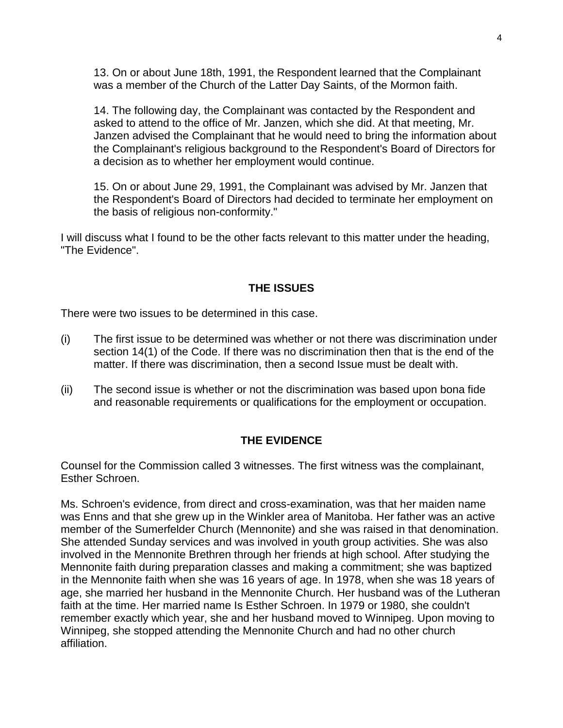13. On or about June 18th, 1991, the Respondent learned that the Complainant was a member of the Church of the Latter Day Saints, of the Mormon faith.

14. The following day, the Complainant was contacted by the Respondent and asked to attend to the office of Mr. Janzen, which she did. At that meeting, Mr. Janzen advised the Complainant that he would need to bring the information about the Complainant's religious background to the Respondent's Board of Directors for a decision as to whether her employment would continue.

15. On or about June 29, 1991, the Complainant was advised by Mr. Janzen that the Respondent's Board of Directors had decided to terminate her employment on the basis of religious non-conformity."

I will discuss what I found to be the other facts relevant to this matter under the heading, "The Evidence".

## **THE ISSUES**

There were two issues to be determined in this case.

- (i) The first issue to be determined was whether or not there was discrimination under section 14(1) of the Code. If there was no discrimination then that is the end of the matter. If there was discrimination, then a second Issue must be dealt with.
- (ii) The second issue is whether or not the discrimination was based upon bona fide and reasonable requirements or qualifications for the employment or occupation.

## **THE EVIDENCE**

Counsel for the Commission called 3 witnesses. The first witness was the complainant, Esther Schroen.

Ms. Schroen's evidence, from direct and cross-examination, was that her maiden name was Enns and that she grew up in the Winkler area of Manitoba. Her father was an active member of the Sumerfelder Church (Mennonite) and she was raised in that denomination. She attended Sunday services and was involved in youth group activities. She was also involved in the Mennonite Brethren through her friends at high school. After studying the Mennonite faith during preparation classes and making a commitment; she was baptized in the Mennonite faith when she was 16 years of age. In 1978, when she was 18 years of age, she married her husband in the Mennonite Church. Her husband was of the Lutheran faith at the time. Her married name Is Esther Schroen. In 1979 or 1980, she couldn't remember exactly which year, she and her husband moved to Winnipeg. Upon moving to Winnipeg, she stopped attending the Mennonite Church and had no other church affiliation.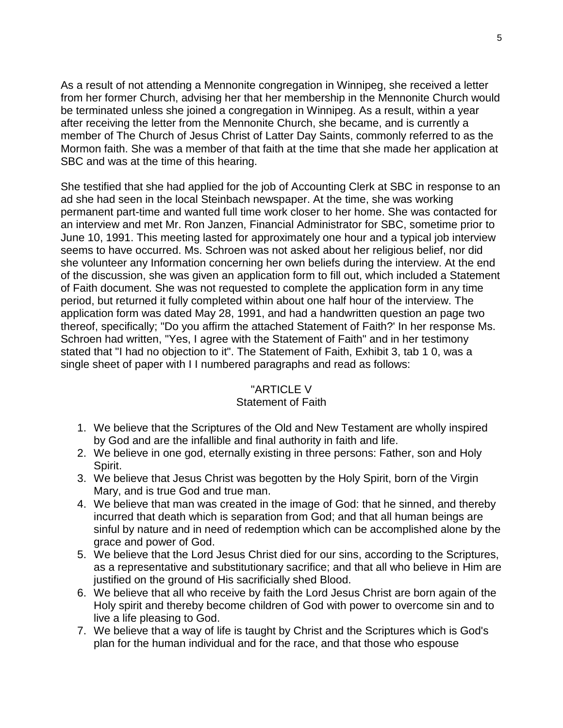As a result of not attending a Mennonite congregation in Winnipeg, she received a letter from her former Church, advising her that her membership in the Mennonite Church would be terminated unless she joined a congregation in Winnipeg. As a result, within a year after receiving the letter from the Mennonite Church, she became, and is currently a member of The Church of Jesus Christ of Latter Day Saints, commonly referred to as the Mormon faith. She was a member of that faith at the time that she made her application at SBC and was at the time of this hearing.

She testified that she had applied for the job of Accounting Clerk at SBC in response to an ad she had seen in the local Steinbach newspaper. At the time, she was working permanent part-time and wanted full time work closer to her home. She was contacted for an interview and met Mr. Ron Janzen, Financial Administrator for SBC, sometime prior to June 10, 1991. This meeting lasted for approximately one hour and a typical job interview seems to have occurred. Ms. Schroen was not asked about her religious belief, nor did she volunteer any Information concerning her own beliefs during the interview. At the end of the discussion, she was given an application form to fill out, which included a Statement of Faith document. She was not requested to complete the application form in any time period, but returned it fully completed within about one half hour of the interview. The application form was dated May 28, 1991, and had a handwritten question an page two thereof, specifically; "Do you affirm the attached Statement of Faith?' In her response Ms. Schroen had written, "Yes, I agree with the Statement of Faith" and in her testimony stated that "I had no objection to it". The Statement of Faith, Exhibit 3, tab 1 0, was a single sheet of paper with I I numbered paragraphs and read as follows:

#### "ARTICLE V

## Statement of Faith

- 1. We believe that the Scriptures of the Old and New Testament are wholly inspired by God and are the infallible and final authority in faith and life.
- 2. We believe in one god, eternally existing in three persons: Father, son and Holy Spirit.
- 3. We believe that Jesus Christ was begotten by the Holy Spirit, born of the Virgin Mary, and is true God and true man.
- 4. We believe that man was created in the image of God: that he sinned, and thereby incurred that death which is separation from God; and that all human beings are sinful by nature and in need of redemption which can be accomplished alone by the grace and power of God.
- 5. We believe that the Lord Jesus Christ died for our sins, according to the Scriptures, as a representative and substitutionary sacrifice; and that all who believe in Him are justified on the ground of His sacrificially shed Blood.
- 6. We believe that all who receive by faith the Lord Jesus Christ are born again of the Holy spirit and thereby become children of God with power to overcome sin and to live a life pleasing to God.
- 7. We believe that a way of life is taught by Christ and the Scriptures which is God's plan for the human individual and for the race, and that those who espouse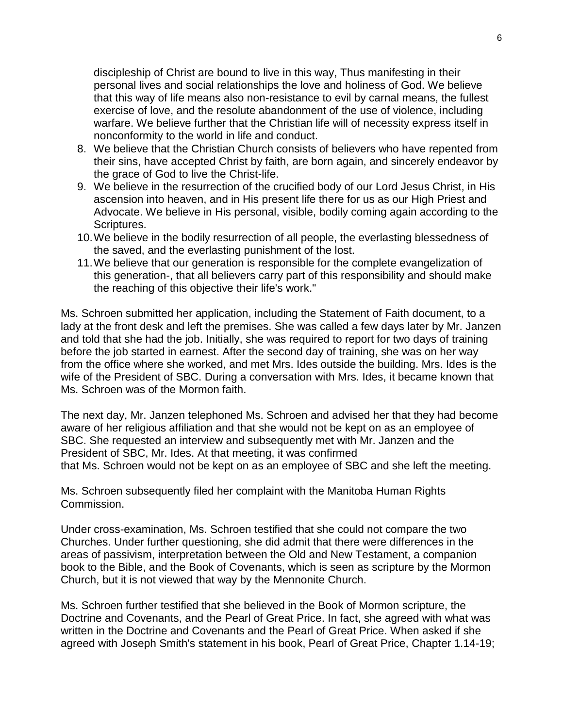discipleship of Christ are bound to live in this way, Thus manifesting in their personal lives and social relationships the love and holiness of God. We believe that this way of life means also non-resistance to evil by carnal means, the fullest exercise of love, and the resolute abandonment of the use of violence, including warfare. We believe further that the Christian life will of necessity express itself in nonconformity to the world in life and conduct.

- 8. We believe that the Christian Church consists of believers who have repented from their sins, have accepted Christ by faith, are born again, and sincerely endeavor by the grace of God to live the Christ-life.
- 9. We believe in the resurrection of the crucified body of our Lord Jesus Christ, in His ascension into heaven, and in His present life there for us as our High Priest and Advocate. We believe in His personal, visible, bodily coming again according to the Scriptures.
- 10.We believe in the bodily resurrection of all people, the everlasting blessedness of the saved, and the everlasting punishment of the lost.
- 11.We believe that our generation is responsible for the complete evangelization of this generation-, that all believers carry part of this responsibility and should make the reaching of this objective their life's work."

Ms. Schroen submitted her application, including the Statement of Faith document, to a lady at the front desk and left the premises. She was called a few days later by Mr. Janzen and told that she had the job. Initially, she was required to report for two days of training before the job started in earnest. After the second day of training, she was on her way from the office where she worked, and met Mrs. Ides outside the building. Mrs. Ides is the wife of the President of SBC. During a conversation with Mrs. Ides, it became known that Ms. Schroen was of the Mormon faith.

The next day, Mr. Janzen telephoned Ms. Schroen and advised her that they had become aware of her religious affiliation and that she would not be kept on as an employee of SBC. She requested an interview and subsequently met with Mr. Janzen and the President of SBC, Mr. Ides. At that meeting, it was confirmed that Ms. Schroen would not be kept on as an employee of SBC and she left the meeting.

Ms. Schroen subsequently filed her complaint with the Manitoba Human Rights Commission.

Under cross-examination, Ms. Schroen testified that she could not compare the two Churches. Under further questioning, she did admit that there were differences in the areas of passivism, interpretation between the Old and New Testament, a companion book to the Bible, and the Book of Covenants, which is seen as scripture by the Mormon Church, but it is not viewed that way by the Mennonite Church.

Ms. Schroen further testified that she believed in the Book of Mormon scripture, the Doctrine and Covenants, and the Pearl of Great Price. In fact, she agreed with what was written in the Doctrine and Covenants and the Pearl of Great Price. When asked if she agreed with Joseph Smith's statement in his book, Pearl of Great Price, Chapter 1.14-19;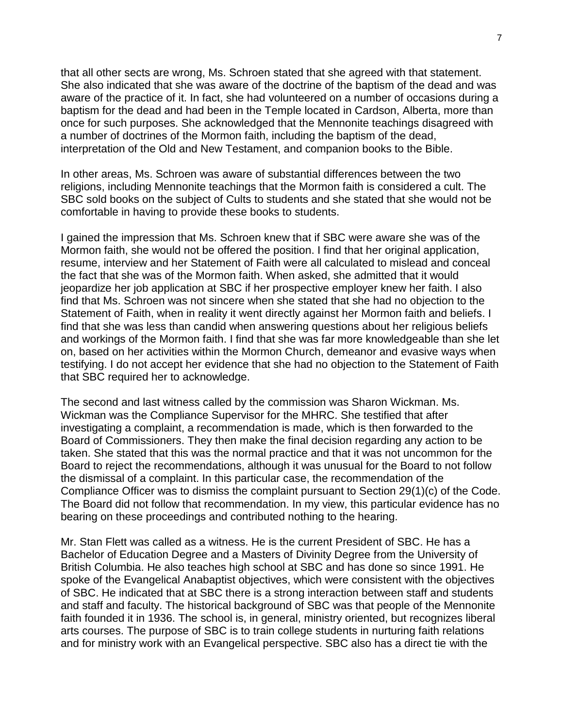that all other sects are wrong, Ms. Schroen stated that she agreed with that statement. She also indicated that she was aware of the doctrine of the baptism of the dead and was aware of the practice of it. In fact, she had volunteered on a number of occasions during a baptism for the dead and had been in the Temple located in Cardson, Alberta, more than once for such purposes. She acknowledged that the Mennonite teachings disagreed with a number of doctrines of the Mormon faith, including the baptism of the dead, interpretation of the Old and New Testament, and companion books to the Bible.

In other areas, Ms. Schroen was aware of substantial differences between the two religions, including Mennonite teachings that the Mormon faith is considered a cult. The SBC sold books on the subject of Cults to students and she stated that she would not be comfortable in having to provide these books to students.

I gained the impression that Ms. Schroen knew that if SBC were aware she was of the Mormon faith, she would not be offered the position. I find that her original application, resume, interview and her Statement of Faith were all calculated to mislead and conceal the fact that she was of the Mormon faith. When asked, she admitted that it would jeopardize her job application at SBC if her prospective employer knew her faith. I also find that Ms. Schroen was not sincere when she stated that she had no objection to the Statement of Faith, when in reality it went directly against her Mormon faith and beliefs. I find that she was less than candid when answering questions about her religious beliefs and workings of the Mormon faith. I find that she was far more knowledgeable than she let on, based on her activities within the Mormon Church, demeanor and evasive ways when testifying. I do not accept her evidence that she had no objection to the Statement of Faith that SBC required her to acknowledge.

The second and last witness called by the commission was Sharon Wickman. Ms. Wickman was the Compliance Supervisor for the MHRC. She testified that after investigating a complaint, a recommendation is made, which is then forwarded to the Board of Commissioners. They then make the final decision regarding any action to be taken. She stated that this was the normal practice and that it was not uncommon for the Board to reject the recommendations, although it was unusual for the Board to not follow the dismissal of a complaint. In this particular case, the recommendation of the Compliance Officer was to dismiss the complaint pursuant to Section 29(1)(c) of the Code. The Board did not follow that recommendation. In my view, this particular evidence has no bearing on these proceedings and contributed nothing to the hearing.

Mr. Stan Flett was called as a witness. He is the current President of SBC. He has a Bachelor of Education Degree and a Masters of Divinity Degree from the University of British Columbia. He also teaches high school at SBC and has done so since 1991. He spoke of the Evangelical Anabaptist objectives, which were consistent with the objectives of SBC. He indicated that at SBC there is a strong interaction between staff and students and staff and faculty. The historical background of SBC was that people of the Mennonite faith founded it in 1936. The school is, in general, ministry oriented, but recognizes liberal arts courses. The purpose of SBC is to train college students in nurturing faith relations and for ministry work with an Evangelical perspective. SBC also has a direct tie with the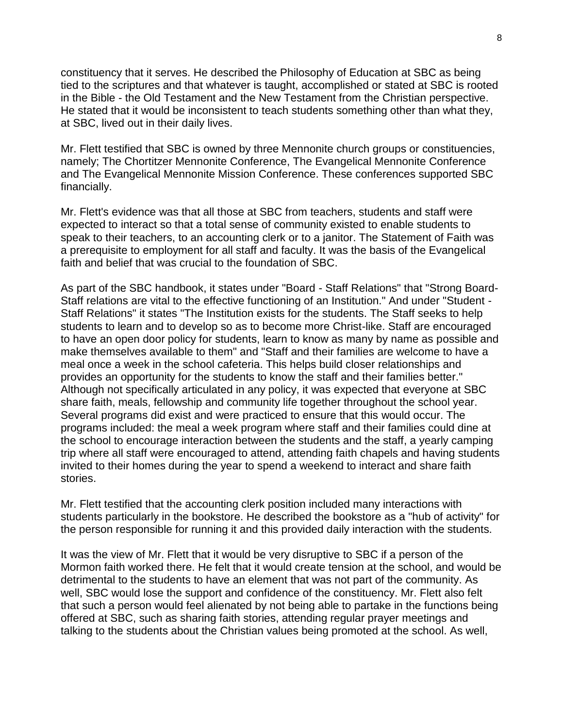constituency that it serves. He described the Philosophy of Education at SBC as being tied to the scriptures and that whatever is taught, accomplished or stated at SBC is rooted in the Bible - the Old Testament and the New Testament from the Christian perspective. He stated that it would be inconsistent to teach students something other than what they, at SBC, lived out in their daily lives.

Mr. Flett testified that SBC is owned by three Mennonite church groups or constituencies, namely; The Chortitzer Mennonite Conference, The Evangelical Mennonite Conference and The Evangelical Mennonite Mission Conference. These conferences supported SBC financially.

Mr. Flett's evidence was that all those at SBC from teachers, students and staff were expected to interact so that a total sense of community existed to enable students to speak to their teachers, to an accounting clerk or to a janitor. The Statement of Faith was a prerequisite to employment for all staff and faculty. It was the basis of the Evangelical faith and belief that was crucial to the foundation of SBC.

As part of the SBC handbook, it states under "Board - Staff Relations" that "Strong Board-Staff relations are vital to the effective functioning of an Institution." And under "Student - Staff Relations" it states "The Institution exists for the students. The Staff seeks to help students to learn and to develop so as to become more Christ-like. Staff are encouraged to have an open door policy for students, learn to know as many by name as possible and make themselves available to them" and "Staff and their families are welcome to have a meal once a week in the school cafeteria. This helps build closer relationships and provides an opportunity for the students to know the staff and their families better." Although not specifically articulated in any policy, it was expected that everyone at SBC share faith, meals, fellowship and community life together throughout the school year. Several programs did exist and were practiced to ensure that this would occur. The programs included: the meal a week program where staff and their families could dine at the school to encourage interaction between the students and the staff, a yearly camping trip where all staff were encouraged to attend, attending faith chapels and having students invited to their homes during the year to spend a weekend to interact and share faith stories.

Mr. Flett testified that the accounting clerk position included many interactions with students particularly in the bookstore. He described the bookstore as a "hub of activity" for the person responsible for running it and this provided daily interaction with the students.

It was the view of Mr. Flett that it would be very disruptive to SBC if a person of the Mormon faith worked there. He felt that it would create tension at the school, and would be detrimental to the students to have an element that was not part of the community. As well, SBC would lose the support and confidence of the constituency. Mr. Flett also felt that such a person would feel alienated by not being able to partake in the functions being offered at SBC, such as sharing faith stories, attending regular prayer meetings and talking to the students about the Christian values being promoted at the school. As well,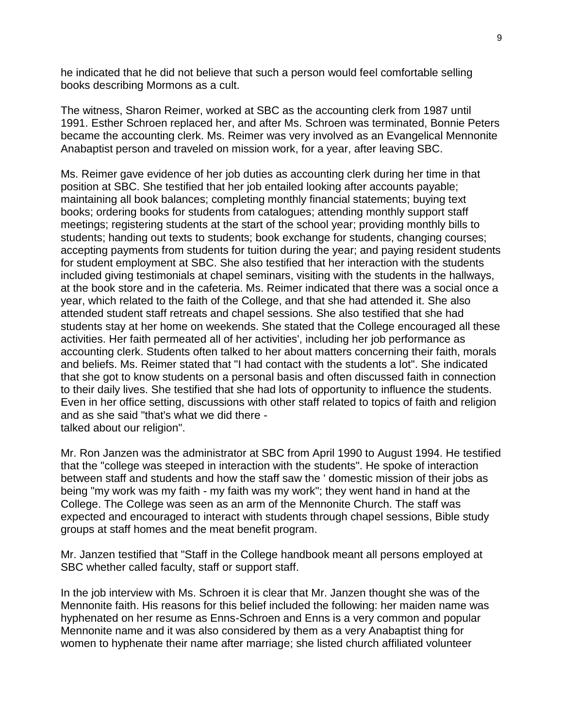he indicated that he did not believe that such a person would feel comfortable selling books describing Mormons as a cult.

The witness, Sharon Reimer, worked at SBC as the accounting clerk from 1987 until 1991. Esther Schroen replaced her, and after Ms. Schroen was terminated, Bonnie Peters became the accounting clerk. Ms. Reimer was very involved as an Evangelical Mennonite Anabaptist person and traveled on mission work, for a year, after leaving SBC.

Ms. Reimer gave evidence of her job duties as accounting clerk during her time in that position at SBC. She testified that her job entailed looking after accounts payable; maintaining all book balances; completing monthly financial statements; buying text books; ordering books for students from catalogues; attending monthly support staff meetings; registering students at the start of the school year; providing monthly bills to students; handing out texts to students; book exchange for students, changing courses; accepting payments from students for tuition during the year; and paying resident students for student employment at SBC. She also testified that her interaction with the students included giving testimonials at chapel seminars, visiting with the students in the hallways, at the book store and in the cafeteria. Ms. Reimer indicated that there was a social once a year, which related to the faith of the College, and that she had attended it. She also attended student staff retreats and chapel sessions. She also testified that she had students stay at her home on weekends. She stated that the College encouraged all these activities. Her faith permeated all of her activities', including her job performance as accounting clerk. Students often talked to her about matters concerning their faith, morals and beliefs. Ms. Reimer stated that "I had contact with the students a lot". She indicated that she got to know students on a personal basis and often discussed faith in connection to their daily lives. She testified that she had lots of opportunity to influence the students. Even in her office setting, discussions with other staff related to topics of faith and religion and as she said "that's what we did there talked about our religion".

Mr. Ron Janzen was the administrator at SBC from April 1990 to August 1994. He testified that the "college was steeped in interaction with the students". He spoke of interaction between staff and students and how the staff saw the ' domestic mission of their jobs as being "my work was my faith - my faith was my work"; they went hand in hand at the College. The College was seen as an arm of the Mennonite Church. The staff was expected and encouraged to interact with students through chapel sessions, Bible study groups at staff homes and the meat benefit program.

Mr. Janzen testified that "Staff in the College handbook meant all persons employed at SBC whether called faculty, staff or support staff.

In the job interview with Ms. Schroen it is clear that Mr. Janzen thought she was of the Mennonite faith. His reasons for this belief included the following: her maiden name was hyphenated on her resume as Enns-Schroen and Enns is a very common and popular Mennonite name and it was also considered by them as a very Anabaptist thing for women to hyphenate their name after marriage; she listed church affiliated volunteer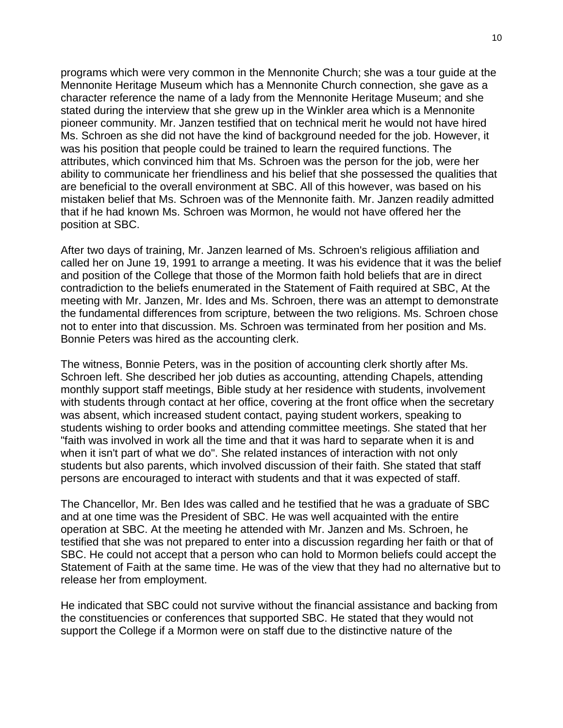programs which were very common in the Mennonite Church; she was a tour guide at the Mennonite Heritage Museum which has a Mennonite Church connection, she gave as a character reference the name of a lady from the Mennonite Heritage Museum; and she stated during the interview that she grew up in the Winkler area which is a Mennonite pioneer community. Mr. Janzen testified that on technical merit he would not have hired Ms. Schroen as she did not have the kind of background needed for the job. However, it was his position that people could be trained to learn the required functions. The attributes, which convinced him that Ms. Schroen was the person for the job, were her ability to communicate her friendliness and his belief that she possessed the qualities that are beneficial to the overall environment at SBC. All of this however, was based on his mistaken belief that Ms. Schroen was of the Mennonite faith. Mr. Janzen readily admitted that if he had known Ms. Schroen was Mormon, he would not have offered her the position at SBC.

After two days of training, Mr. Janzen learned of Ms. Schroen's religious affiliation and called her on June 19, 1991 to arrange a meeting. It was his evidence that it was the belief and position of the College that those of the Mormon faith hold beliefs that are in direct contradiction to the beliefs enumerated in the Statement of Faith required at SBC, At the meeting with Mr. Janzen, Mr. Ides and Ms. Schroen, there was an attempt to demonstrate the fundamental differences from scripture, between the two religions. Ms. Schroen chose not to enter into that discussion. Ms. Schroen was terminated from her position and Ms. Bonnie Peters was hired as the accounting clerk.

The witness, Bonnie Peters, was in the position of accounting clerk shortly after Ms. Schroen left. She described her job duties as accounting, attending Chapels, attending monthly support staff meetings, Bible study at her residence with students, involvement with students through contact at her office, covering at the front office when the secretary was absent, which increased student contact, paying student workers, speaking to students wishing to order books and attending committee meetings. She stated that her "faith was involved in work all the time and that it was hard to separate when it is and when it isn't part of what we do". She related instances of interaction with not only students but also parents, which involved discussion of their faith. She stated that staff persons are encouraged to interact with students and that it was expected of staff.

The Chancellor, Mr. Ben Ides was called and he testified that he was a graduate of SBC and at one time was the President of SBC. He was well acquainted with the entire operation at SBC. At the meeting he attended with Mr. Janzen and Ms. Schroen, he testified that she was not prepared to enter into a discussion regarding her faith or that of SBC. He could not accept that a person who can hold to Mormon beliefs could accept the Statement of Faith at the same time. He was of the view that they had no alternative but to release her from employment.

He indicated that SBC could not survive without the financial assistance and backing from the constituencies or conferences that supported SBC. He stated that they would not support the College if a Mormon were on staff due to the distinctive nature of the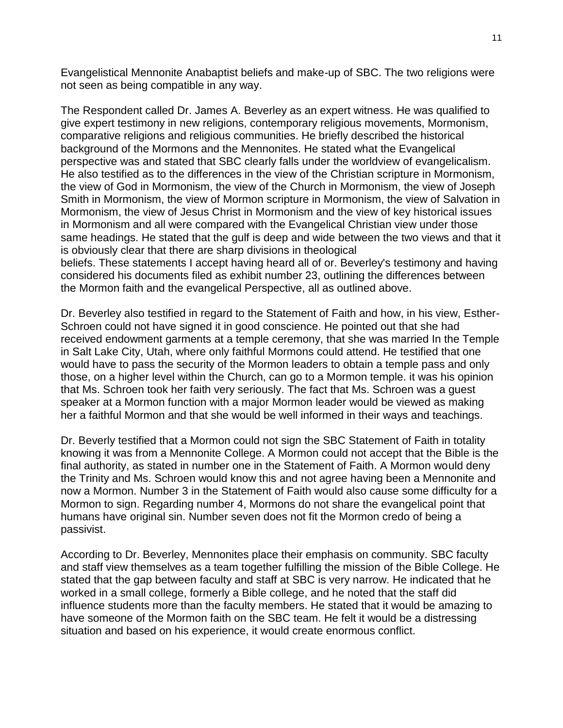Evangelistical Mennonite Anabaptist beliefs and make-up of SBC. The two religions were not seen as being compatible in any way.

The Respondent called Dr. James A. Beverley as an expert witness. He was qualified to give expert testimony in new religions, contemporary religious movements, Mormonism, comparative religions and religious communities. He briefly described the historical background of the Mormons and the Mennonites. He stated what the Evangelical perspective was and stated that SBC clearly falls under the worldview of evangelicalism. He also testified as to the differences in the view of the Christian scripture in Mormonism, the view of God in Mormonism, the view of the Church in Mormonism, the view of Joseph Smith in Mormonism, the view of Mormon scripture in Mormonism, the view of Salvation in Mormonism, the view of Jesus Christ in Mormonism and the view of key historical issues in Mormonism and all were compared with the Evangelical Christian view under those same headings. He stated that the gulf is deep and wide between the two views and that it is obviously clear that there are sharp divisions in theological beliefs. These statements I accept having heard all of or. Beverley's testimony and having considered his documents filed as exhibit number 23, outlining the differences between the Mormon faith and the evangelical Perspective, all as outlined above.

Dr. Beverley also testified in regard to the Statement of Faith and how, in his view, Esther-Schroen could not have signed it in good conscience. He pointed out that she had received endowment garments at a temple ceremony, that she was married In the Temple in Salt Lake City, Utah, where only faithful Mormons could attend. He testified that one would have to pass the security of the Mormon leaders to obtain a temple pass and only those, on a higher level within the Church, can go to a Mormon temple. it was his opinion that Ms. Schroen took her faith very seriously. The fact that Ms. Schroen was a guest speaker at a Mormon function with a major Mormon leader would be viewed as making her a faithful Mormon and that she would be well informed in their ways and teachings.

Dr. Beverly testified that a Mormon could not sign the SBC Statement of Faith in totality knowing it was from a Mennonite College. A Mormon could not accept that the Bible is the final authority, as stated in number one in the Statement of Faith. A Mormon would deny the Trinity and Ms. Schroen would know this and not agree having been a Mennonite and now a Mormon. Number 3 in the Statement of Faith would also cause some difficulty for a Mormon to sign. Regarding number 4, Mormons do not share the evangelical point that humans have original sin. Number seven does not fit the Mormon credo of being a passivist.

According to Dr. Beverley, Mennonites place their emphasis on community. SBC faculty and staff view themselves as a team together fulfilling the mission of the Bible College. He stated that the gap between faculty and staff at SBC is very narrow. He indicated that he worked in a small college, formerly a Bible college, and he noted that the staff did influence students more than the faculty members. He stated that it would be amazing to have someone of the Mormon faith on the SBC team. He felt it would be a distressing situation and based on his experience, it would create enormous conflict.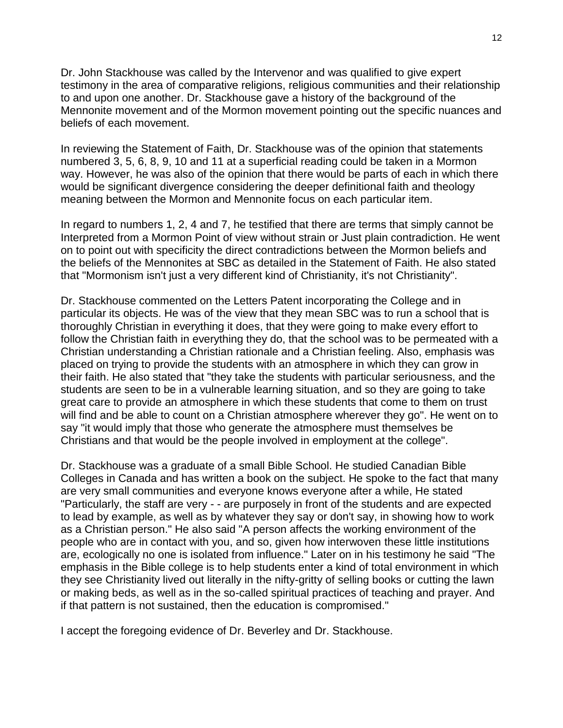Dr. John Stackhouse was called by the Intervenor and was qualified to give expert testimony in the area of comparative religions, religious communities and their relationship to and upon one another. Dr. Stackhouse gave a history of the background of the Mennonite movement and of the Mormon movement pointing out the specific nuances and beliefs of each movement.

In reviewing the Statement of Faith, Dr. Stackhouse was of the opinion that statements numbered 3, 5, 6, 8, 9, 10 and 11 at a superficial reading could be taken in a Mormon way. However, he was also of the opinion that there would be parts of each in which there would be significant divergence considering the deeper definitional faith and theology meaning between the Mormon and Mennonite focus on each particular item.

In regard to numbers 1, 2, 4 and 7, he testified that there are terms that simply cannot be Interpreted from a Mormon Point of view without strain or Just plain contradiction. He went on to point out with specificity the direct contradictions between the Mormon beliefs and the beliefs of the Mennonites at SBC as detailed in the Statement of Faith. He also stated that "Mormonism isn't just a very different kind of Christianity, it's not Christianity".

Dr. Stackhouse commented on the Letters Patent incorporating the College and in particular its objects. He was of the view that they mean SBC was to run a school that is thoroughly Christian in everything it does, that they were going to make every effort to follow the Christian faith in everything they do, that the school was to be permeated with a Christian understanding a Christian rationale and a Christian feeling. Also, emphasis was placed on trying to provide the students with an atmosphere in which they can grow in their faith. He also stated that "they take the students with particular seriousness, and the students are seen to be in a vulnerable learning situation, and so they are going to take great care to provide an atmosphere in which these students that come to them on trust will find and be able to count on a Christian atmosphere wherever they go". He went on to say "it would imply that those who generate the atmosphere must themselves be Christians and that would be the people involved in employment at the college".

Dr. Stackhouse was a graduate of a small Bible School. He studied Canadian Bible Colleges in Canada and has written a book on the subject. He spoke to the fact that many are very small communities and everyone knows everyone after a while, He stated "Particularly, the staff are very - - are purposely in front of the students and are expected to lead by example, as well as by whatever they say or don't say, in showing how to work as a Christian person." He also said "A person affects the working environment of the people who are in contact with you, and so, given how interwoven these little institutions are, ecologically no one is isolated from influence." Later on in his testimony he said "The emphasis in the Bible college is to help students enter a kind of total environment in which they see Christianity lived out literally in the nifty-gritty of selling books or cutting the lawn or making beds, as well as in the so-called spiritual practices of teaching and prayer. And if that pattern is not sustained, then the education is compromised."

I accept the foregoing evidence of Dr. Beverley and Dr. Stackhouse.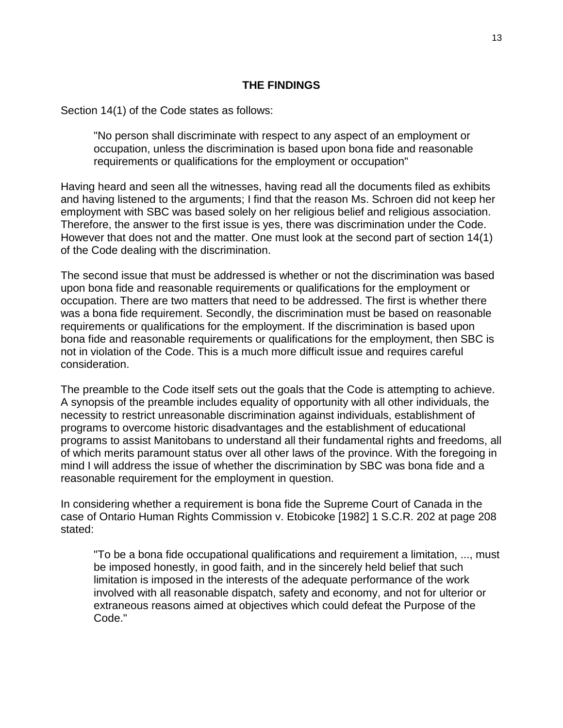#### **THE FINDINGS**

Section 14(1) of the Code states as follows:

"No person shall discriminate with respect to any aspect of an employment or occupation, unless the discrimination is based upon bona fide and reasonable requirements or qualifications for the employment or occupation"

Having heard and seen all the witnesses, having read all the documents filed as exhibits and having listened to the arguments; I find that the reason Ms. Schroen did not keep her employment with SBC was based solely on her religious belief and religious association. Therefore, the answer to the first issue is yes, there was discrimination under the Code. However that does not and the matter. One must look at the second part of section 14(1) of the Code dealing with the discrimination.

The second issue that must be addressed is whether or not the discrimination was based upon bona fide and reasonable requirements or qualifications for the employment or occupation. There are two matters that need to be addressed. The first is whether there was a bona fide requirement. Secondly, the discrimination must be based on reasonable requirements or qualifications for the employment. If the discrimination is based upon bona fide and reasonable requirements or qualifications for the employment, then SBC is not in violation of the Code. This is a much more difficult issue and requires careful consideration.

The preamble to the Code itself sets out the goals that the Code is attempting to achieve. A synopsis of the preamble includes equality of opportunity with all other individuals, the necessity to restrict unreasonable discrimination against individuals, establishment of programs to overcome historic disadvantages and the establishment of educational programs to assist Manitobans to understand all their fundamental rights and freedoms, all of which merits paramount status over all other laws of the province. With the foregoing in mind I will address the issue of whether the discrimination by SBC was bona fide and a reasonable requirement for the employment in question.

In considering whether a requirement is bona fide the Supreme Court of Canada in the case of Ontario Human Rights Commission v. Etobicoke [1982] 1 S.C.R. 202 at page 208 stated:

"To be a bona fide occupational qualifications and requirement a limitation, ..., must be imposed honestly, in good faith, and in the sincerely held belief that such limitation is imposed in the interests of the adequate performance of the work involved with all reasonable dispatch, safety and economy, and not for ulterior or extraneous reasons aimed at objectives which could defeat the Purpose of the Code."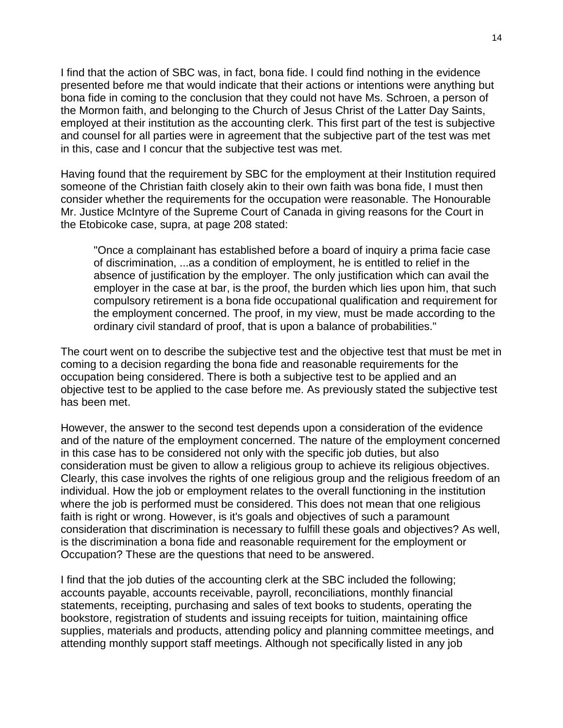I find that the action of SBC was, in fact, bona fide. I could find nothing in the evidence presented before me that would indicate that their actions or intentions were anything but bona fide in coming to the conclusion that they could not have Ms. Schroen, a person of the Mormon faith, and belonging to the Church of Jesus Christ of the Latter Day Saints, employed at their institution as the accounting clerk. This first part of the test is subjective and counsel for all parties were in agreement that the subjective part of the test was met in this, case and I concur that the subjective test was met.

Having found that the requirement by SBC for the employment at their Institution required someone of the Christian faith closely akin to their own faith was bona fide, I must then consider whether the requirements for the occupation were reasonable. The Honourable Mr. Justice McIntyre of the Supreme Court of Canada in giving reasons for the Court in the Etobicoke case, supra, at page 208 stated:

"Once a complainant has established before a board of inquiry a prima facie case of discrimination, ...as a condition of employment, he is entitled to relief in the absence of justification by the employer. The only justification which can avail the employer in the case at bar, is the proof, the burden which lies upon him, that such compulsory retirement is a bona fide occupational qualification and requirement for the employment concerned. The proof, in my view, must be made according to the ordinary civil standard of proof, that is upon a balance of probabilities."

The court went on to describe the subjective test and the objective test that must be met in coming to a decision regarding the bona fide and reasonable requirements for the occupation being considered. There is both a subjective test to be applied and an objective test to be applied to the case before me. As previously stated the subjective test has been met.

However, the answer to the second test depends upon a consideration of the evidence and of the nature of the employment concerned. The nature of the employment concerned in this case has to be considered not only with the specific job duties, but also consideration must be given to allow a religious group to achieve its religious objectives. Clearly, this case involves the rights of one religious group and the religious freedom of an individual. How the job or employment relates to the overall functioning in the institution where the job is performed must be considered. This does not mean that one religious faith is right or wrong. However, is it's goals and objectives of such a paramount consideration that discrimination is necessary to fulfill these goals and objectives? As well, is the discrimination a bona fide and reasonable requirement for the employment or Occupation? These are the questions that need to be answered.

I find that the job duties of the accounting clerk at the SBC included the following; accounts payable, accounts receivable, payroll, reconciliations, monthly financial statements, receipting, purchasing and sales of text books to students, operating the bookstore, registration of students and issuing receipts for tuition, maintaining office supplies, materials and products, attending policy and planning committee meetings, and attending monthly support staff meetings. Although not specifically listed in any job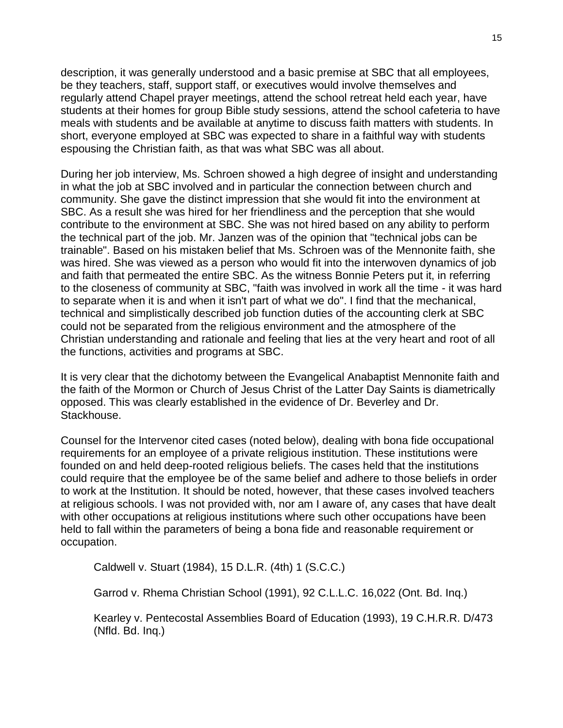description, it was generally understood and a basic premise at SBC that all employees, be they teachers, staff, support staff, or executives would involve themselves and regularly attend Chapel prayer meetings, attend the school retreat held each year, have students at their homes for group Bible study sessions, attend the school cafeteria to have meals with students and be available at anytime to discuss faith matters with students. In short, everyone employed at SBC was expected to share in a faithful way with students espousing the Christian faith, as that was what SBC was all about.

During her job interview, Ms. Schroen showed a high degree of insight and understanding in what the job at SBC involved and in particular the connection between church and community. She gave the distinct impression that she would fit into the environment at SBC. As a result she was hired for her friendliness and the perception that she would contribute to the environment at SBC. She was not hired based on any ability to perform the technical part of the job. Mr. Janzen was of the opinion that "technical jobs can be trainable". Based on his mistaken belief that Ms. Schroen was of the Mennonite faith, she was hired. She was viewed as a person who would fit into the interwoven dynamics of job and faith that permeated the entire SBC. As the witness Bonnie Peters put it, in referring to the closeness of community at SBC, "faith was involved in work all the time - it was hard to separate when it is and when it isn't part of what we do". I find that the mechanical, technical and simplistically described job function duties of the accounting clerk at SBC could not be separated from the religious environment and the atmosphere of the Christian understanding and rationale and feeling that lies at the very heart and root of all the functions, activities and programs at SBC.

It is very clear that the dichotomy between the Evangelical Anabaptist Mennonite faith and the faith of the Mormon or Church of Jesus Christ of the Latter Day Saints is diametrically opposed. This was clearly established in the evidence of Dr. Beverley and Dr. Stackhouse.

Counsel for the Intervenor cited cases (noted below), dealing with bona fide occupational requirements for an employee of a private religious institution. These institutions were founded on and held deep-rooted religious beliefs. The cases held that the institutions could require that the employee be of the same belief and adhere to those beliefs in order to work at the Institution. It should be noted, however, that these cases involved teachers at religious schools. I was not provided with, nor am I aware of, any cases that have dealt with other occupations at religious institutions where such other occupations have been held to fall within the parameters of being a bona fide and reasonable requirement or occupation.

Caldwell v. Stuart (1984), 15 D.L.R. (4th) 1 (S.C.C.)

Garrod v. Rhema Christian School (1991), 92 C.L.L.C. 16,022 (Ont. Bd. Inq.)

Kearley v. Pentecostal Assemblies Board of Education (1993), 19 C.H.R.R. D/473 (Nfld. Bd. Inq.)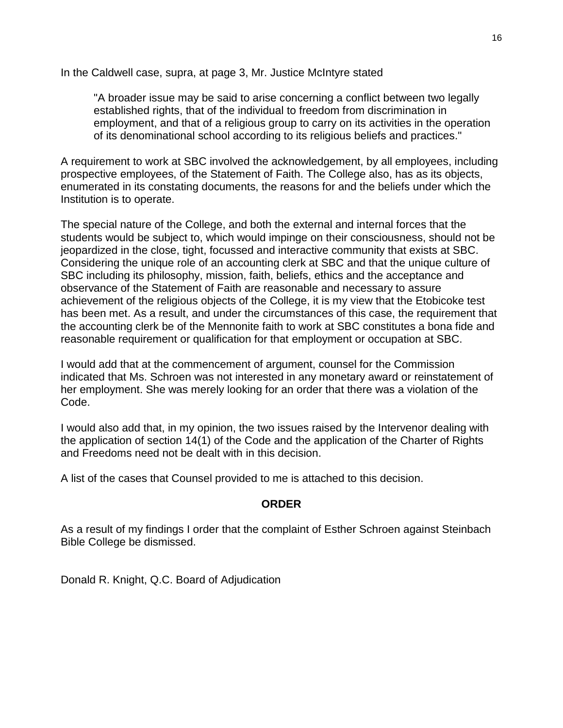In the Caldwell case, supra, at page 3, Mr. Justice McIntyre stated

"A broader issue may be said to arise concerning a conflict between two legally established rights, that of the individual to freedom from discrimination in employment, and that of a religious group to carry on its activities in the operation of its denominational school according to its religious beliefs and practices."

A requirement to work at SBC involved the acknowledgement, by all employees, including prospective employees, of the Statement of Faith. The College also, has as its objects, enumerated in its constating documents, the reasons for and the beliefs under which the Institution is to operate.

The special nature of the College, and both the external and internal forces that the students would be subject to, which would impinge on their consciousness, should not be jeopardized in the close, tight, focussed and interactive community that exists at SBC. Considering the unique role of an accounting clerk at SBC and that the unique culture of SBC including its philosophy, mission, faith, beliefs, ethics and the acceptance and observance of the Statement of Faith are reasonable and necessary to assure achievement of the religious objects of the College, it is my view that the Etobicoke test has been met. As a result, and under the circumstances of this case, the requirement that the accounting clerk be of the Mennonite faith to work at SBC constitutes a bona fide and reasonable requirement or qualification for that employment or occupation at SBC.

I would add that at the commencement of argument, counsel for the Commission indicated that Ms. Schroen was not interested in any monetary award or reinstatement of her employment. She was merely looking for an order that there was a violation of the Code.

I would also add that, in my opinion, the two issues raised by the Intervenor dealing with the application of section 14(1) of the Code and the application of the Charter of Rights and Freedoms need not be dealt with in this decision.

A list of the cases that Counsel provided to me is attached to this decision.

#### **ORDER**

As a result of my findings I order that the complaint of Esther Schroen against Steinbach Bible College be dismissed.

Donald R. Knight, Q.C. Board of Adjudication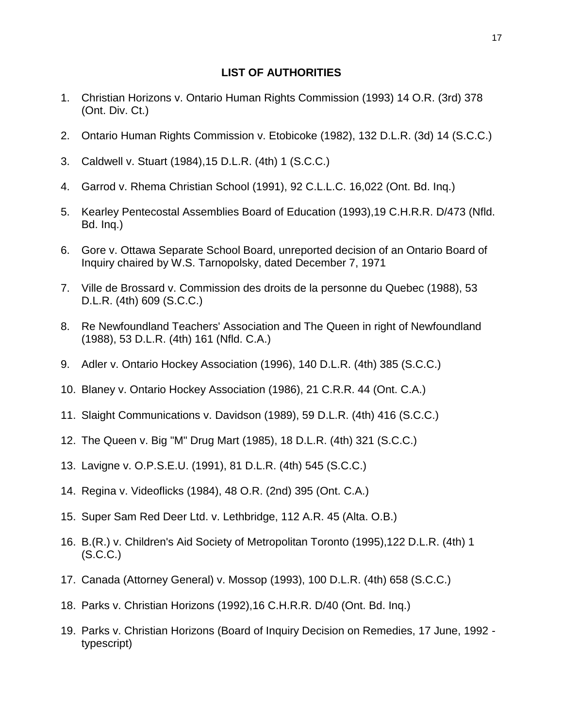#### **LIST OF AUTHORITIES**

- 1. Christian Horizons v. Ontario Human Rights Commission (1993) 14 O.R. (3rd) 378 (Ont. Div. Ct.)
- 2. Ontario Human Rights Commission v. Etobicoke (1982), 132 D.L.R. (3d) 14 (S.C.C.)
- 3. Caldwell v. Stuart (1984),15 D.L.R. (4th) 1 (S.C.C.)
- 4. Garrod v. Rhema Christian School (1991), 92 C.L.L.C. 16,022 (Ont. Bd. Inq.)
- 5. Kearley Pentecostal Assemblies Board of Education (1993),19 C.H.R.R. D/473 (Nfld. Bd. Inq.)
- 6. Gore v. Ottawa Separate School Board, unreported decision of an Ontario Board of Inquiry chaired by W.S. Tarnopolsky, dated December 7, 1971
- 7. Ville de Brossard v. Commission des droits de la personne du Quebec (1988), 53 D.L.R. (4th) 609 (S.C.C.)
- 8. Re Newfoundland Teachers' Association and The Queen in right of Newfoundland (1988), 53 D.L.R. (4th) 161 (Nfld. C.A.)
- 9. Adler v. Ontario Hockey Association (1996), 140 D.L.R. (4th) 385 (S.C.C.)
- 10. Blaney v. Ontario Hockey Association (1986), 21 C.R.R. 44 (Ont. C.A.)
- 11. Slaight Communications v. Davidson (1989), 59 D.L.R. (4th) 416 (S.C.C.)
- 12. The Queen v. Big "M" Drug Mart (1985), 18 D.L.R. (4th) 321 (S.C.C.)
- 13. Lavigne v. O.P.S.E.U. (1991), 81 D.L.R. (4th) 545 (S.C.C.)
- 14. Regina v. Videoflicks (1984), 48 O.R. (2nd) 395 (Ont. C.A.)
- 15. Super Sam Red Deer Ltd. v. Lethbridge, 112 A.R. 45 (Alta. O.B.)
- 16. B.(R.) v. Children's Aid Society of Metropolitan Toronto (1995),122 D.L.R. (4th) 1 (S.C.C.)
- 17. Canada (Attorney General) v. Mossop (1993), 100 D.L.R. (4th) 658 (S.C.C.)
- 18. Parks v. Christian Horizons (1992),16 C.H.R.R. D/40 (Ont. Bd. Inq.)
- 19. Parks v. Christian Horizons (Board of Inquiry Decision on Remedies, 17 June, 1992 typescript)